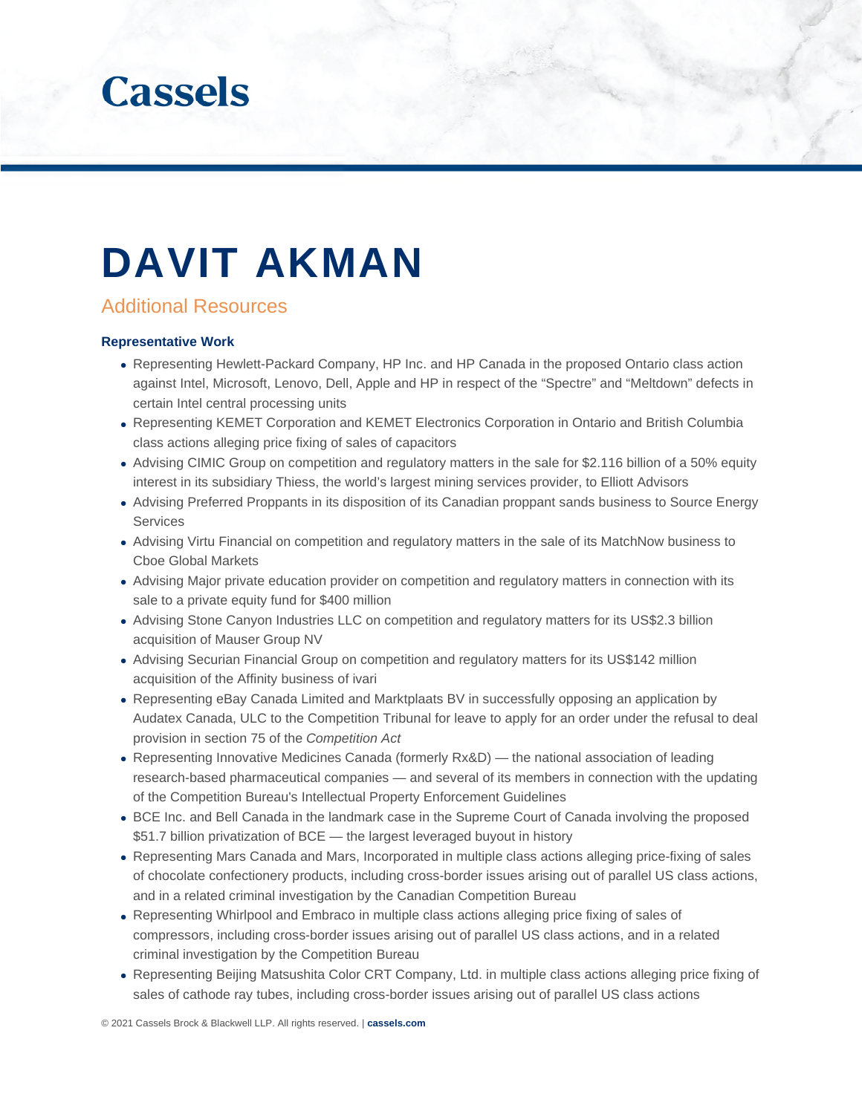

# DAVIT AKMAN

# Additional Resources

#### **Representative Work**

- Representing Hewlett-Packard Company, HP Inc. and HP Canada in the proposed Ontario class action against Intel, Microsoft, Lenovo, Dell, Apple and HP in respect of the "Spectre" and "Meltdown" defects in certain Intel central processing units
- Representing KEMET Corporation and KEMET Electronics Corporation in Ontario and British Columbia class actions alleging price fixing of sales of capacitors
- Advising CIMIC Group on competition and regulatory matters in the sale for \$2.116 billion of a 50% equity interest in its subsidiary Thiess, the world's largest mining services provider, to Elliott Advisors
- Advising Preferred Proppants in its disposition of its Canadian proppant sands business to Source Energy **Services**
- Advising Virtu Financial on competition and regulatory matters in the sale of its MatchNow business to Cboe Global Markets
- Advising Major private education provider on competition and regulatory matters in connection with its sale to a private equity fund for \$400 million
- Advising Stone Canyon Industries LLC on competition and regulatory matters for its US\$2.3 billion acquisition of Mauser Group NV
- Advising Securian Financial Group on competition and regulatory matters for its US\$142 million acquisition of the Affinity business of ivari
- Representing eBay Canada Limited and Marktplaats BV in successfully opposing an application by Audatex Canada, ULC to the Competition Tribunal for leave to apply for an order under the refusal to deal provision in section 75 of the *Competition Act*
- Representing Innovative Medicines Canada (formerly Rx&D) the national association of leading research-based pharmaceutical companies — and several of its members in connection with the updating of the Competition Bureau's Intellectual Property Enforcement Guidelines
- BCE Inc. and Bell Canada in the landmark case in the Supreme Court of Canada involving the proposed \$51.7 billion privatization of BCE — the largest leveraged buyout in history
- Representing Mars Canada and Mars, Incorporated in multiple class actions alleging price-fixing of sales of chocolate confectionery products, including cross-border issues arising out of parallel US class actions, and in a related criminal investigation by the Canadian Competition Bureau
- Representing Whirlpool and Embraco in multiple class actions alleging price fixing of sales of compressors, including cross-border issues arising out of parallel US class actions, and in a related criminal investigation by the Competition Bureau
- Representing Beijing Matsushita Color CRT Company, Ltd. in multiple class actions alleging price fixing of sales of cathode ray tubes, including cross-border issues arising out of parallel US class actions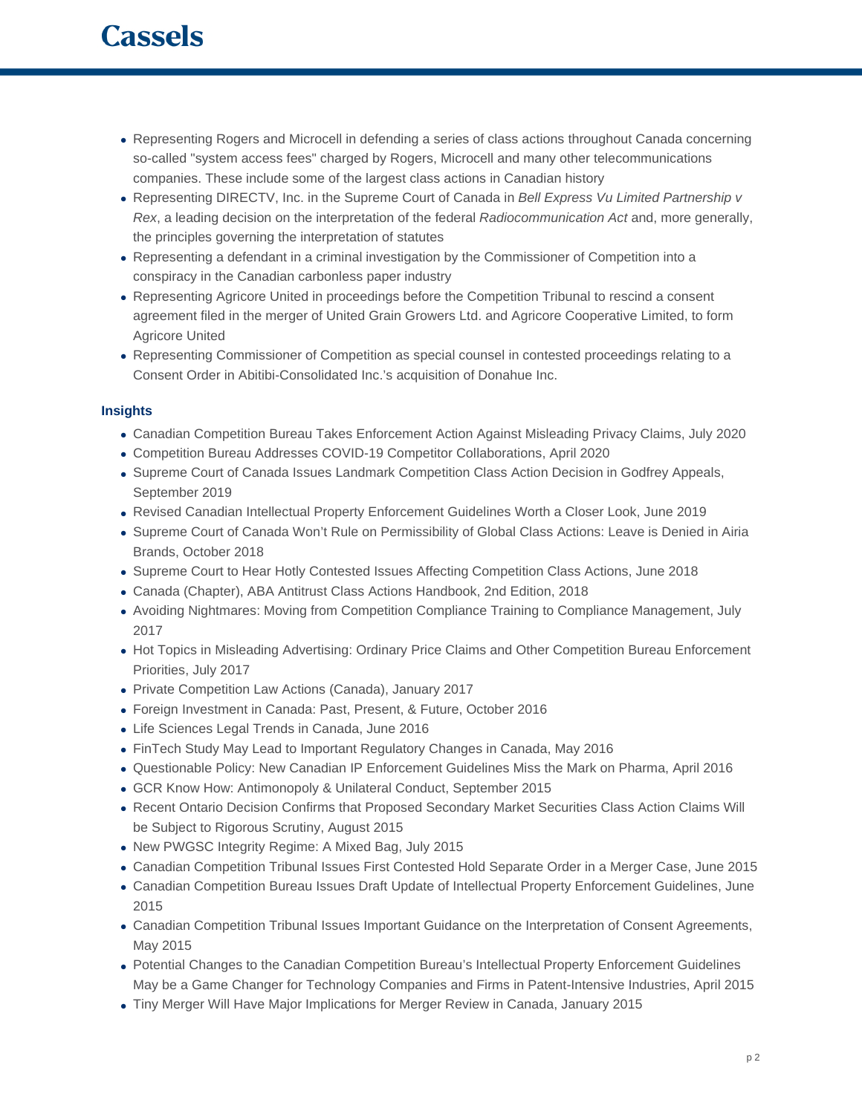- Representing Rogers and Microcell in defending a series of class actions throughout Canada concerning so-called "system access fees" charged by Rogers, Microcell and many other telecommunications companies. These include some of the largest class actions in Canadian history
- Representing DIRECTV, Inc. in the Supreme Court of Canada in *Bell Express Vu Limited Partnership v Rex*, a leading decision on the interpretation of the federal *Radiocommunication Act* and, more generally, the principles governing the interpretation of statutes
- Representing a defendant in a criminal investigation by the Commissioner of Competition into a conspiracy in the Canadian carbonless paper industry
- Representing Agricore United in proceedings before the Competition Tribunal to rescind a consent agreement filed in the merger of United Grain Growers Ltd. and Agricore Cooperative Limited, to form Agricore United
- Representing Commissioner of Competition as special counsel in contested proceedings relating to a Consent Order in Abitibi-Consolidated Inc.'s acquisition of Donahue Inc.

## **Insights**

- Canadian Competition Bureau Takes Enforcement Action Against Misleading Privacy Claims, July 2020
- Competition Bureau Addresses COVID-19 Competitor Collaborations, April 2020
- Supreme Court of Canada Issues Landmark Competition Class Action Decision in Godfrey Appeals, September 2019
- Revised Canadian Intellectual Property Enforcement Guidelines Worth a Closer Look, June 2019
- Supreme Court of Canada Won't Rule on Permissibility of Global Class Actions: Leave is Denied in Airia Brands, October 2018
- Supreme Court to Hear Hotly Contested Issues Affecting Competition Class Actions, June 2018
- Canada (Chapter), ABA Antitrust Class Actions Handbook, 2nd Edition, 2018
- Avoiding Nightmares: Moving from Competition Compliance Training to Compliance Management, July 2017
- Hot Topics in Misleading Advertising: Ordinary Price Claims and Other Competition Bureau Enforcement Priorities, July 2017
- Private Competition Law Actions (Canada), January 2017
- Foreign Investment in Canada: Past, Present, & Future, October 2016
- Life Sciences Legal Trends in Canada, June 2016
- FinTech Study May Lead to Important Regulatory Changes in Canada, May 2016
- Questionable Policy: New Canadian IP Enforcement Guidelines Miss the Mark on Pharma, April 2016
- GCR Know How: Antimonopoly & Unilateral Conduct, September 2015
- Recent Ontario Decision Confirms that Proposed Secondary Market Securities Class Action Claims Will be Subject to Rigorous Scrutiny, August 2015
- New PWGSC Integrity Regime: A Mixed Bag, July 2015
- Canadian Competition Tribunal Issues First Contested Hold Separate Order in a Merger Case, June 2015
- Canadian Competition Bureau Issues Draft Update of Intellectual Property Enforcement Guidelines, June 2015
- Canadian Competition Tribunal Issues Important Guidance on the Interpretation of Consent Agreements, May 2015
- Potential Changes to the Canadian Competition Bureau's Intellectual Property Enforcement Guidelines May be a Game Changer for Technology Companies and Firms in Patent-Intensive Industries, April 2015
- Tiny Merger Will Have Major Implications for Merger Review in Canada, January 2015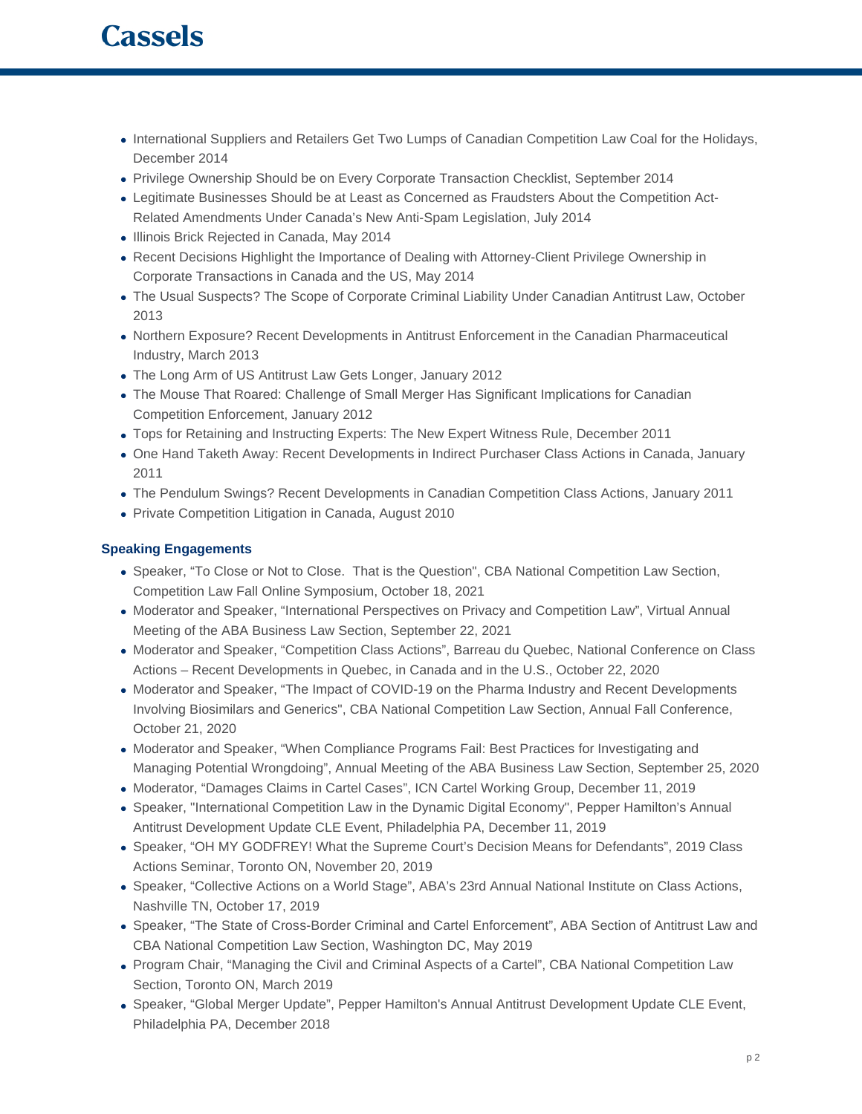- International Suppliers and Retailers Get Two Lumps of Canadian Competition Law Coal for the Holidays, December 2014
- Privilege Ownership Should be on Every Corporate Transaction Checklist, September 2014
- Legitimate Businesses Should be at Least as Concerned as Fraudsters About the Competition Act-Related Amendments Under Canada's New Anti-Spam Legislation, July 2014
- Illinois Brick Rejected in Canada, May 2014
- Recent Decisions Highlight the Importance of Dealing with Attorney-Client Privilege Ownership in Corporate Transactions in Canada and the US, May 2014
- The Usual Suspects? The Scope of Corporate Criminal Liability Under Canadian Antitrust Law, October 2013
- Northern Exposure? Recent Developments in Antitrust Enforcement in the Canadian Pharmaceutical Industry, March 2013
- The Long Arm of US Antitrust Law Gets Longer, January 2012
- The Mouse That Roared: Challenge of Small Merger Has Significant Implications for Canadian Competition Enforcement, January 2012
- Tops for Retaining and Instructing Experts: The New Expert Witness Rule, December 2011
- One Hand Taketh Away: Recent Developments in Indirect Purchaser Class Actions in Canada, January 2011
- The Pendulum Swings? Recent Developments in Canadian Competition Class Actions, January 2011
- Private Competition Litigation in Canada, August 2010

## **Speaking Engagements**

- Speaker, "To Close or Not to Close. That is the Question", CBA National Competition Law Section, Competition Law Fall Online Symposium, October 18, 2021
- Moderator and Speaker, "International Perspectives on Privacy and Competition Law", Virtual Annual Meeting of the ABA Business Law Section, September 22, 2021
- Moderator and Speaker, "Competition Class Actions", Barreau du Quebec, National Conference on Class Actions – Recent Developments in Quebec, in Canada and in the U.S., October 22, 2020
- Moderator and Speaker, "The Impact of COVID-19 on the Pharma Industry and Recent Developments Involving Biosimilars and Generics", CBA National Competition Law Section, Annual Fall Conference, October 21, 2020
- Moderator and Speaker, "When Compliance Programs Fail: Best Practices for Investigating and Managing Potential Wrongdoing", Annual Meeting of the ABA Business Law Section, September 25, 2020
- Moderator, "Damages Claims in Cartel Cases", ICN Cartel Working Group, December 11, 2019
- Speaker, "International Competition Law in the Dynamic Digital Economy", Pepper Hamilton's Annual Antitrust Development Update CLE Event, Philadelphia PA, December 11, 2019
- Speaker, "OH MY GODFREY! What the Supreme Court's Decision Means for Defendants", 2019 Class Actions Seminar, Toronto ON, November 20, 2019
- Speaker, "Collective Actions on a World Stage", ABA's 23rd Annual National Institute on Class Actions, Nashville TN, October 17, 2019
- Speaker, "The State of Cross-Border Criminal and Cartel Enforcement", ABA Section of Antitrust Law and CBA National Competition Law Section, Washington DC, May 2019
- Program Chair, "Managing the Civil and Criminal Aspects of a Cartel", CBA National Competition Law Section, Toronto ON, March 2019
- Speaker, "Global Merger Update", Pepper Hamilton's Annual Antitrust Development Update CLE Event, Philadelphia PA, December 2018